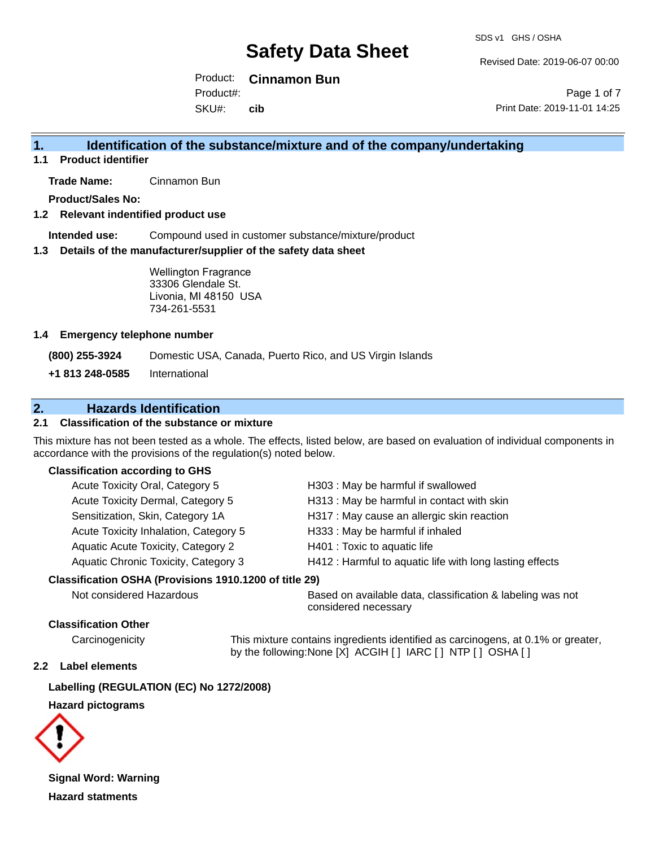Revised Date: 2019-06-07 00:00

Product: **Cinnamon Bun** Product#:

SKU#: **cib**

Page 1 of 7 Print Date: 2019-11-01 14:25

## **1. Identification of the substance/mixture and of the company/undertaking**

**1.1 Product identifier**

**Trade Name:** Cinnamon Bun

**Product/Sales No:**

#### **1.2 Relevant indentified product use**

**Intended use:** Compound used in customer substance/mixture/product

#### **1.3 Details of the manufacturer/supplier of the safety data sheet**

Wellington Fragrance 33306 Glendale St. Livonia, MI 48150 USA 734-261-5531

#### **1.4 Emergency telephone number**

**(800) 255-3924** Domestic USA, Canada, Puerto Rico, and US Virgin Islands

**+1 813 248-0585** International

## **2. Hazards Identification**

#### **2.1 Classification of the substance or mixture**

This mixture has not been tested as a whole. The effects, listed below, are based on evaluation of individual components in accordance with the provisions of the regulation(s) noted below.

#### **Classification according to GHS**

| Acute Toxicity Oral, Category 5           | H303 : May be harmful if swallowed                       |
|-------------------------------------------|----------------------------------------------------------|
| Acute Toxicity Dermal, Category 5         | H313 : May be harmful in contact with skin               |
| Sensitization, Skin, Category 1A          | H317 : May cause an allergic skin reaction               |
| Acute Toxicity Inhalation, Category 5     | H333: May be harmful if inhaled                          |
| <b>Aquatic Acute Toxicity, Category 2</b> | H401 : Toxic to aquatic life                             |
| Aquatic Chronic Toxicity, Category 3      | H412 : Harmful to aquatic life with long lasting effects |
|                                           |                                                          |

#### **Classification OSHA (Provisions 1910.1200 of title 29)**

Not considered Hazardous Based on available data, classification & labeling was not considered necessary

#### **Classification Other**

Carcinogenicity This mixture contains ingredients identified as carcinogens, at 0.1% or greater, by the following:None [X] ACGIH [ ] IARC [ ] NTP [ ] OSHA [ ]

#### **2.2 Label elements**

**Labelling (REGULATION (EC) No 1272/2008)**

#### **Hazard pictograms**



**Signal Word: Warning Hazard statments**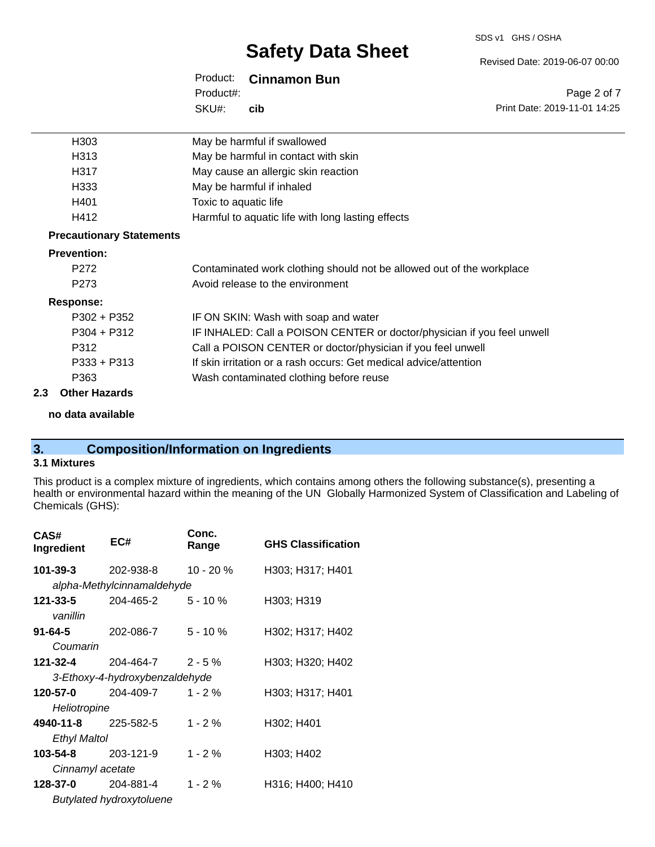Revised Date: 2019-06-07 00:00

Print Date: 2019-11-01 14:25

Page 2 of 7

| Product:<br><b>Cinnamon Bun</b> |
|---------------------------------|
|---------------------------------|

SKU#: Product#: **cib**

| H303                            | May be harmful if swallowed                                             |
|---------------------------------|-------------------------------------------------------------------------|
| H313                            | May be harmful in contact with skin                                     |
| H317                            | May cause an allergic skin reaction                                     |
| H333                            | May be harmful if inhaled                                               |
| H401                            | Toxic to aquatic life                                                   |
| H412                            | Harmful to aquatic life with long lasting effects                       |
| <b>Precautionary Statements</b> |                                                                         |
| <b>Prevention:</b>              |                                                                         |
| P <sub>272</sub>                | Contaminated work clothing should not be allowed out of the workplace   |
| P <sub>273</sub>                | Avoid release to the environment                                        |
| Response:                       |                                                                         |
| $P302 + P352$                   | IF ON SKIN: Wash with soap and water                                    |
| $P304 + P312$                   | IF INHALED: Call a POISON CENTER or doctor/physician if you feel unwell |
| P312                            | Call a POISON CENTER or doctor/physician if you feel unwell             |
| $P333 + P313$                   | If skin irritation or a rash occurs: Get medical advice/attention       |
| P363                            | Wash contaminated clothing before reuse                                 |
|                                 |                                                                         |

## **2.3 Other Hazards**

**no data available**

## **3. Composition/Information on Ingredients**

#### **3.1 Mixtures**

This product is a complex mixture of ingredients, which contains among others the following substance(s), presenting a health or environmental hazard within the meaning of the UN Globally Harmonized System of Classification and Labeling of Chemicals (GHS):

| CAS#<br>Ingredient | EC#                            | Conc.<br>Range | <b>GHS Classification</b> |
|--------------------|--------------------------------|----------------|---------------------------|
| 101-39-3           | 202-938-8                      | $10 - 20%$     | H303; H317; H401          |
|                    | alpha-Methylcinnamaldehyde     |                |                           |
| 121-33-5           | 204-465-2                      | $5 - 10 \%$    | H303; H319                |
| vanillin           |                                |                |                           |
| $91 - 64 - 5$      | 202-086-7                      | $5 - 10 \%$    | H302; H317; H402          |
| Coumarin           |                                |                |                           |
| 121-32-4           | 204-464-7                      | $2 - 5\%$      | H303; H320; H402          |
|                    | 3-Ethoxy-4-hydroxybenzaldehyde |                |                           |
| 120-57-0           | 204-409-7                      | $1 - 2 \%$     | H303; H317; H401          |
| Heliotropine       |                                |                |                           |
| 4940-11-8          | 225-582-5                      | $1 - 2%$       | H302; H401                |
| Ethyl Maltol       |                                |                |                           |
| 103-54-8           | 203-121-9                      | $1 - 2%$       | H303; H402                |
| Cinnamyl acetate   |                                |                |                           |
| 128-37-0           | 204-881-4                      | $1 - 2 \%$     | H316; H400; H410          |
|                    | Butylated hydroxytoluene       |                |                           |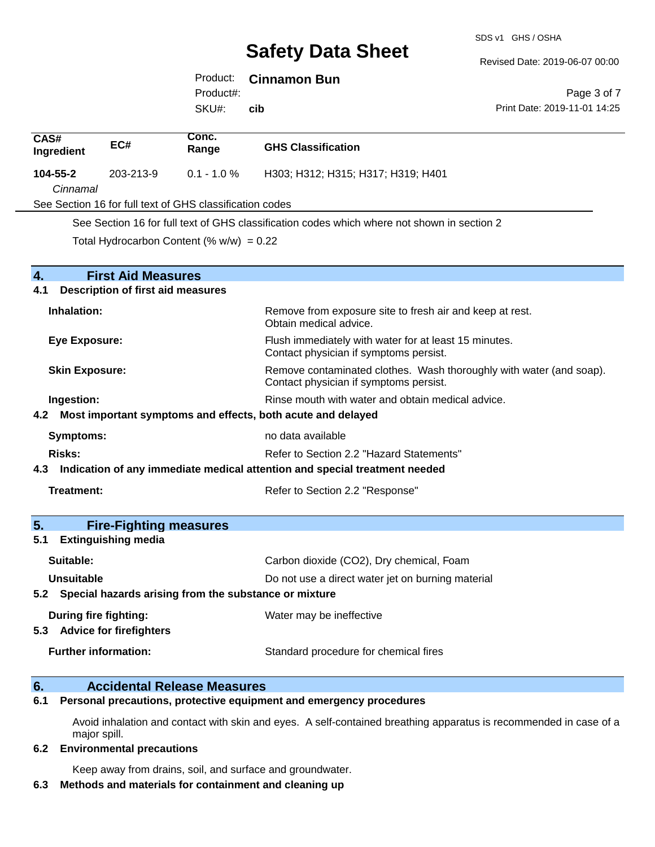SDS v1 GHS / OSHA

Revised Date: 2019-06-07 00:00

Print Date: 2019-11-01 14:25

Page 3 of 7

## Product: **Cinnamon Bun**

SKU#: Product#:

**cib**

| CAS#                                                                           |                                                                                                                                        | Conc.                                                    |                                                                                                 |  |
|--------------------------------------------------------------------------------|----------------------------------------------------------------------------------------------------------------------------------------|----------------------------------------------------------|-------------------------------------------------------------------------------------------------|--|
| Ingredient                                                                     | EC#                                                                                                                                    | Range                                                    | <b>GHS Classification</b>                                                                       |  |
| 104-55-2                                                                       | 203-213-9                                                                                                                              | $0.1 - 1.0 %$                                            | H303; H312; H315; H317; H319; H401                                                              |  |
| Cinnamal                                                                       |                                                                                                                                        |                                                          |                                                                                                 |  |
|                                                                                |                                                                                                                                        | See Section 16 for full text of GHS classification codes |                                                                                                 |  |
|                                                                                |                                                                                                                                        |                                                          | See Section 16 for full text of GHS classification codes which where not shown in section 2     |  |
|                                                                                |                                                                                                                                        | Total Hydrocarbon Content (% $w/w$ ) = 0.22              |                                                                                                 |  |
| $\overline{4}$ .                                                               | <b>First Aid Measures</b>                                                                                                              |                                                          |                                                                                                 |  |
| 4.1                                                                            | <b>Description of first aid measures</b>                                                                                               |                                                          |                                                                                                 |  |
|                                                                                |                                                                                                                                        |                                                          |                                                                                                 |  |
| Inhalation:                                                                    |                                                                                                                                        |                                                          | Remove from exposure site to fresh air and keep at rest.<br>Obtain medical advice.              |  |
| <b>Eye Exposure:</b>                                                           |                                                                                                                                        |                                                          | Flush immediately with water for at least 15 minutes.<br>Contact physician if symptoms persist. |  |
|                                                                                | Remove contaminated clothes. Wash thoroughly with water (and soap).<br><b>Skin Exposure:</b><br>Contact physician if symptoms persist. |                                                          |                                                                                                 |  |
| Ingestion:                                                                     | Rinse mouth with water and obtain medical advice.                                                                                      |                                                          |                                                                                                 |  |
|                                                                                | 4.2 Most important symptoms and effects, both acute and delayed                                                                        |                                                          |                                                                                                 |  |
| <b>Symptoms:</b>                                                               |                                                                                                                                        |                                                          | no data available                                                                               |  |
| <b>Risks:</b>                                                                  | Refer to Section 2.2 "Hazard Statements"                                                                                               |                                                          |                                                                                                 |  |
| 4.3 Indication of any immediate medical attention and special treatment needed |                                                                                                                                        |                                                          |                                                                                                 |  |
| Treatment:                                                                     |                                                                                                                                        |                                                          | Refer to Section 2.2 "Response"                                                                 |  |
|                                                                                |                                                                                                                                        |                                                          |                                                                                                 |  |
| 5.                                                                             | <b>Fire-Fighting measures</b>                                                                                                          |                                                          |                                                                                                 |  |
| 5.1                                                                            | <b>Extinguishing media</b>                                                                                                             |                                                          |                                                                                                 |  |
| Suitable:                                                                      |                                                                                                                                        |                                                          | Carbon dioxide (CO2), Dry chemical, Foam                                                        |  |
| <b>Unsuitable</b>                                                              |                                                                                                                                        |                                                          | Do not use a direct water jet on burning material                                               |  |
| 5.2 Special hazards arising from the substance or mixture                      |                                                                                                                                        |                                                          |                                                                                                 |  |
| During fire fighting:                                                          |                                                                                                                                        |                                                          | Water may be ineffective                                                                        |  |
|                                                                                | 5.3 Advice for firefighters                                                                                                            |                                                          |                                                                                                 |  |
| <b>Further information:</b>                                                    |                                                                                                                                        |                                                          | Standard procedure for chemical fires                                                           |  |
|                                                                                |                                                                                                                                        |                                                          |                                                                                                 |  |

## **6. Accidental Release Measures**

**6.1 Personal precautions, protective equipment and emergency procedures**

Avoid inhalation and contact with skin and eyes. A self-contained breathing apparatus is recommended in case of a major spill.

#### **6.2 Environmental precautions**

Keep away from drains, soil, and surface and groundwater.

#### **6.3 Methods and materials for containment and cleaning up**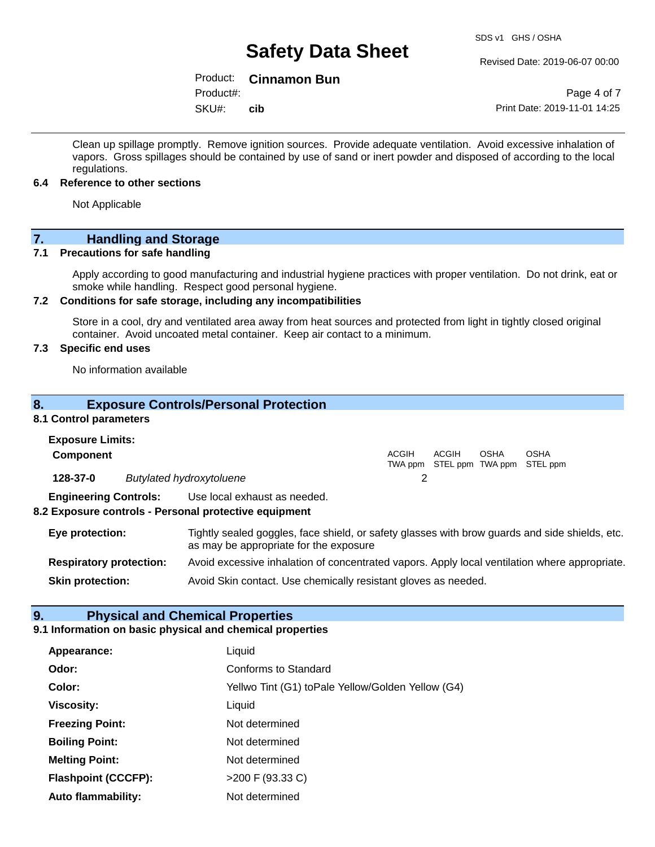#### Revised Date: 2019-06-07 00:00

## Product: **Cinnamon Bun**

SKU#: Product#: **cib**

Page 4 of 7 Print Date: 2019-11-01 14:25

Clean up spillage promptly. Remove ignition sources. Provide adequate ventilation. Avoid excessive inhalation of vapors. Gross spillages should be contained by use of sand or inert powder and disposed of according to the local regulations.

#### **6.4 Reference to other sections**

Not Applicable

# **7.** Handling and Storage<br> **7.1** Precautions for safe handling

#### **Precautions for safe handling**

Apply according to good manufacturing and industrial hygiene practices with proper ventilation. Do not drink, eat or smoke while handling. Respect good personal hygiene.

#### **7.2 Conditions for safe storage, including any incompatibilities**

Store in a cool, dry and ventilated area away from heat sources and protected from light in tightly closed original container. Avoid uncoated metal container. Keep air contact to a minimum.

#### **7.3 Specific end uses**

No information available

#### **8. Exposure Controls/Personal Protection**

#### **8.1 Control parameters**

| <b>Exposure Limits:</b>        |                                                                                                                                          |       |       |      |                                                  |  |
|--------------------------------|------------------------------------------------------------------------------------------------------------------------------------------|-------|-------|------|--------------------------------------------------|--|
| <b>Component</b>               |                                                                                                                                          | ACGIH | ACGIH | OSHA | <b>OSHA</b><br>TWA ppm STEL ppm TWA ppm STEL ppm |  |
| 128-37-0                       | <b>Butylated hydroxytoluene</b>                                                                                                          | 2     |       |      |                                                  |  |
| <b>Engineering Controls:</b>   | Use local exhaust as needed.<br>8.2 Exposure controls - Personal protective equipment                                                    |       |       |      |                                                  |  |
| Eye protection:                | Tightly sealed goggles, face shield, or safety glasses with brow guards and side shields, etc.<br>as may be appropriate for the exposure |       |       |      |                                                  |  |
| <b>Respiratory protection:</b> | Avoid excessive inhalation of concentrated vapors. Apply local ventilation where appropriate.                                            |       |       |      |                                                  |  |
| <b>Skin protection:</b>        | Avoid Skin contact. Use chemically resistant gloves as needed.                                                                           |       |       |      |                                                  |  |

## **9. Physical and Chemical Properties**

#### **9.1 Information on basic physical and chemical properties**

| Appearance:                | Liquid                                            |
|----------------------------|---------------------------------------------------|
| Odor:                      | Conforms to Standard                              |
| Color:                     | Yellwo Tint (G1) toPale Yellow/Golden Yellow (G4) |
| <b>Viscosity:</b>          | Liquid                                            |
| <b>Freezing Point:</b>     | Not determined                                    |
| <b>Boiling Point:</b>      | Not determined                                    |
| <b>Melting Point:</b>      | Not determined                                    |
| <b>Flashpoint (CCCFP):</b> | >200 F (93.33 C)                                  |
| <b>Auto flammability:</b>  | Not determined                                    |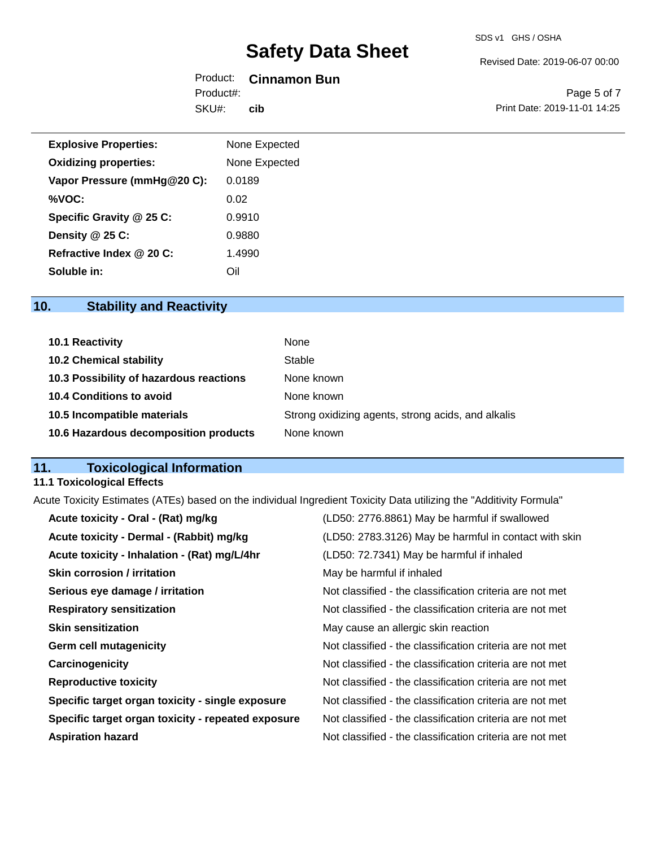#### Revised Date: 2019-06-07 00:00

## Product: **Cinnamon Bun**

SKU#: Product#: **cib**

Page 5 of 7 Print Date: 2019-11-01 14:25

| <b>Explosive Properties:</b> | None Expected |
|------------------------------|---------------|
| <b>Oxidizing properties:</b> | None Expected |
| Vapor Pressure (mmHg@20 C):  | 0.0189        |
| %VOC:                        | 0.02          |
| Specific Gravity @ 25 C:     | 0.9910        |
| Density @ 25 C:              | 0.9880        |
| Refractive Index @ 20 C:     | 1.4990        |
| Soluble in:                  | Oil           |

## **10. Stability and Reactivity**

| 10.1 Reactivity                         | None                                               |
|-----------------------------------------|----------------------------------------------------|
| <b>10.2 Chemical stability</b>          | Stable                                             |
| 10.3 Possibility of hazardous reactions | None known                                         |
| 10.4 Conditions to avoid                | None known                                         |
| 10.5 Incompatible materials             | Strong oxidizing agents, strong acids, and alkalis |
| 10.6 Hazardous decomposition products   | None known                                         |

## **11. Toxicological Information**

## **11.1 Toxicological Effects**

Acute Toxicity Estimates (ATEs) based on the individual Ingredient Toxicity Data utilizing the "Additivity Formula"

| Acute toxicity - Oral - (Rat) mg/kg                | (LD50: 2776.8861) May be harmful if swallowed            |
|----------------------------------------------------|----------------------------------------------------------|
| Acute toxicity - Dermal - (Rabbit) mg/kg           | (LD50: 2783.3126) May be harmful in contact with skin    |
| Acute toxicity - Inhalation - (Rat) mg/L/4hr       | (LD50: 72.7341) May be harmful if inhaled                |
| <b>Skin corrosion / irritation</b>                 | May be harmful if inhaled                                |
| Serious eye damage / irritation                    | Not classified - the classification criteria are not met |
| <b>Respiratory sensitization</b>                   | Not classified - the classification criteria are not met |
| <b>Skin sensitization</b>                          | May cause an allergic skin reaction                      |
| <b>Germ cell mutagenicity</b>                      | Not classified - the classification criteria are not met |
| Carcinogenicity                                    | Not classified - the classification criteria are not met |
| <b>Reproductive toxicity</b>                       | Not classified - the classification criteria are not met |
| Specific target organ toxicity - single exposure   | Not classified - the classification criteria are not met |
| Specific target organ toxicity - repeated exposure | Not classified - the classification criteria are not met |
| <b>Aspiration hazard</b>                           | Not classified - the classification criteria are not met |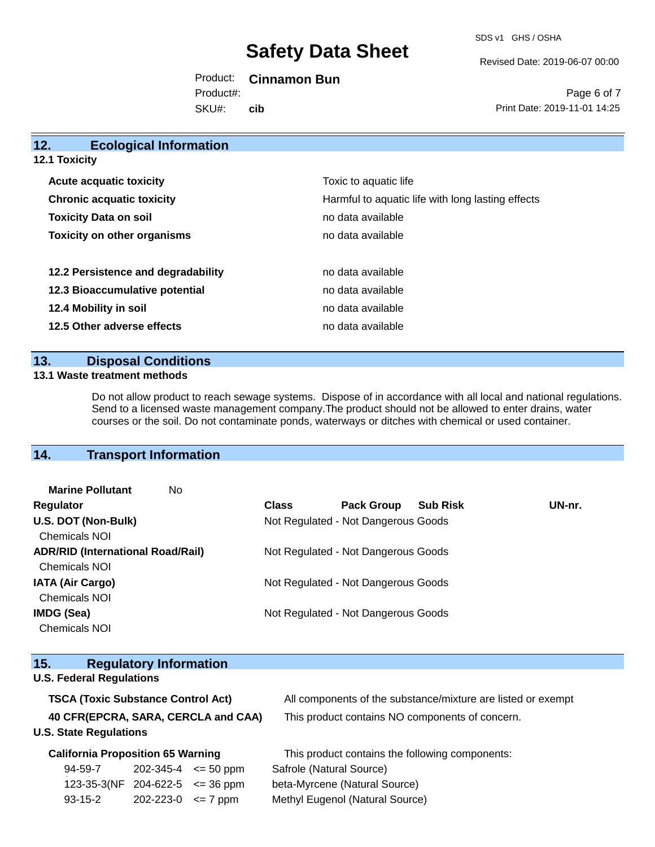SDS v1 GHS / OSHA

Revised Date: 2019-06-07 00:00

Product: **Cinnamon Bun** SKU#: Product#: **cib**

Page 6 of 7 Print Date: 2019-11-01 14:25

| 12.<br><b>Ecological Information</b> |                                                   |
|--------------------------------------|---------------------------------------------------|
| <b>12.1 Toxicity</b>                 |                                                   |
| <b>Acute acquatic toxicity</b>       | Toxic to aquatic life                             |
| <b>Chronic acquatic toxicity</b>     | Harmful to aquatic life with long lasting effects |
| <b>Toxicity Data on soil</b>         | no data available                                 |
| <b>Toxicity on other organisms</b>   | no data available                                 |
| 12.2 Persistence and degradability   | no data available                                 |
| 12.3 Bioaccumulative potential       | no data available                                 |
| 12.4 Mobility in soil                | no data available                                 |
| 12.5 Other adverse effects           | no data available                                 |
|                                      |                                                   |

## **13. Disposal Conditions**

#### **13.1 Waste treatment methods**

Do not allow product to reach sewage systems. Dispose of in accordance with all local and national regulations. Send to a licensed waste management company.The product should not be allowed to enter drains, water courses or the soil. Do not contaminate ponds, waterways or ditches with chemical or used container.

## **14. Transport Information**

| <b>Marine Pollutant</b><br>No            |                                     |                                     |                 |        |
|------------------------------------------|-------------------------------------|-------------------------------------|-----------------|--------|
| <b>Regulator</b>                         | <b>Class</b>                        | <b>Pack Group</b>                   | <b>Sub Risk</b> | UN-nr. |
| U.S. DOT (Non-Bulk)                      | Not Regulated - Not Dangerous Goods |                                     |                 |        |
| <b>Chemicals NOI</b>                     |                                     |                                     |                 |        |
| <b>ADR/RID (International Road/Rail)</b> |                                     | Not Regulated - Not Dangerous Goods |                 |        |
| <b>Chemicals NOI</b>                     |                                     |                                     |                 |        |
| <b>IATA (Air Cargo)</b>                  |                                     | Not Regulated - Not Dangerous Goods |                 |        |
| <b>Chemicals NOI</b>                     |                                     |                                     |                 |        |
| IMDG (Sea)                               |                                     | Not Regulated - Not Dangerous Goods |                 |        |
| <b>Chemicals NOI</b>                     |                                     |                                     |                 |        |
|                                          |                                     |                                     |                 |        |

| 15.                                       |                                     | <b>Regulatory Information</b> |               |                                                              |
|-------------------------------------------|-------------------------------------|-------------------------------|---------------|--------------------------------------------------------------|
| <b>U.S. Federal Regulations</b>           |                                     |                               |               |                                                              |
| <b>TSCA (Toxic Substance Control Act)</b> |                                     |                               |               | All components of the substance/mixture are listed or exempt |
| 40 CFR(EPCRA, SARA, CERCLA and CAA)       |                                     |                               |               | This product contains NO components of concern.              |
| <b>U.S. State Regulations</b>             |                                     |                               |               |                                                              |
| <b>California Proposition 65 Warning</b>  |                                     |                               |               | This product contains the following components:              |
|                                           | 94-59-7                             | 202-345-4                     | $\leq$ 50 ppm | Safrole (Natural Source)                                     |
|                                           | 123-35-3(NF 204-622-5 $\leq$ 36 ppm |                               |               | beta-Myrcene (Natural Source)                                |
|                                           | $93 - 15 - 2$                       | 202-223-0                     | $\leq$ 7 ppm  | Methyl Eugenol (Natural Source)                              |
|                                           |                                     |                               |               |                                                              |